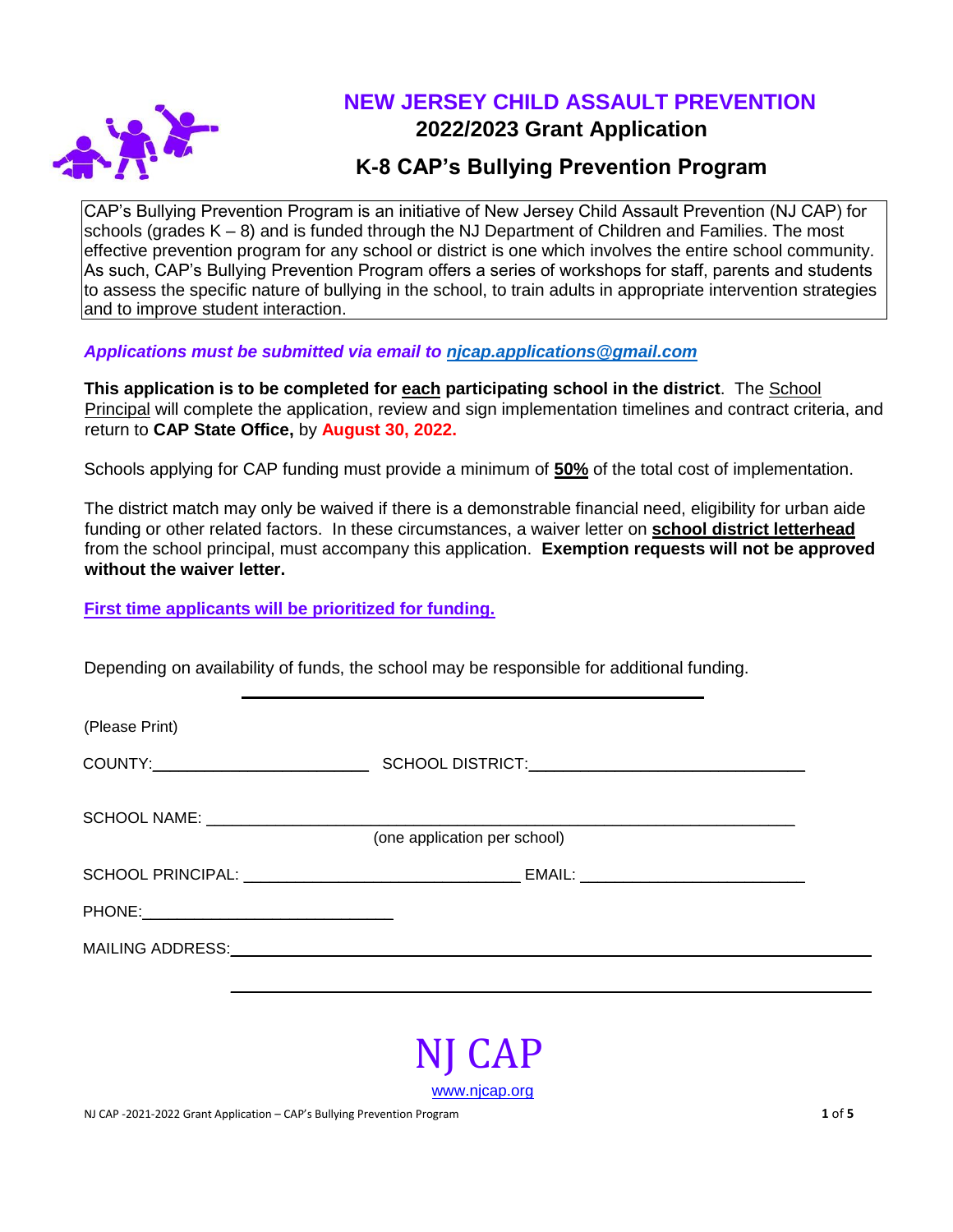

# **NEW JERSEY CHILD ASSAULT PREVENTION 2022/2023 Grant Application**

# **K-8 CAP's Bullying Prevention Program**

CAP's Bullying Prevention Program is an initiative of New Jersey Child Assault Prevention (NJ CAP) for schools (grades K – 8) and is funded through the NJ Department of Children and Families. The most effective prevention program for any school or district is one which involves the entire school community. As such, CAP's Bullying Prevention Program offers a series of workshops for staff, parents and students to assess the specific nature of bullying in the school, to train adults in appropriate intervention strategies and to improve student interaction.

## *Applications must be submitted via email to [njcap.applications@gmail.com](mailto:njcap.applications@gmail.com)*

**This application is to be completed for each participating school in the district**. The School Principal will complete the application, review and sign implementation timelines and contract criteria, and return to **CAP State Office,** by **August 30, 2022.**

Schools applying for CAP funding must provide a minimum of **50%** of the total cost of implementation.

The district match may only be waived if there is a demonstrable financial need, eligibility for urban aide funding or other related factors. In these circumstances, a waiver letter on **school district letterhead** from the school principal, must accompany this application. **Exemption requests will not be approved without the waiver letter.** 

**First time applicants will be prioritized for funding.**

Depending on availability of funds, the school may be responsible for additional funding.

| (Please Print)                            |                              |
|-------------------------------------------|------------------------------|
|                                           |                              |
|                                           |                              |
|                                           | (one application per school) |
|                                           |                              |
| PHONE:___________________________________ |                              |
|                                           |                              |
|                                           |                              |
|                                           |                              |

[www.njcap.org](http://www.njcap.org/)

NJ CAP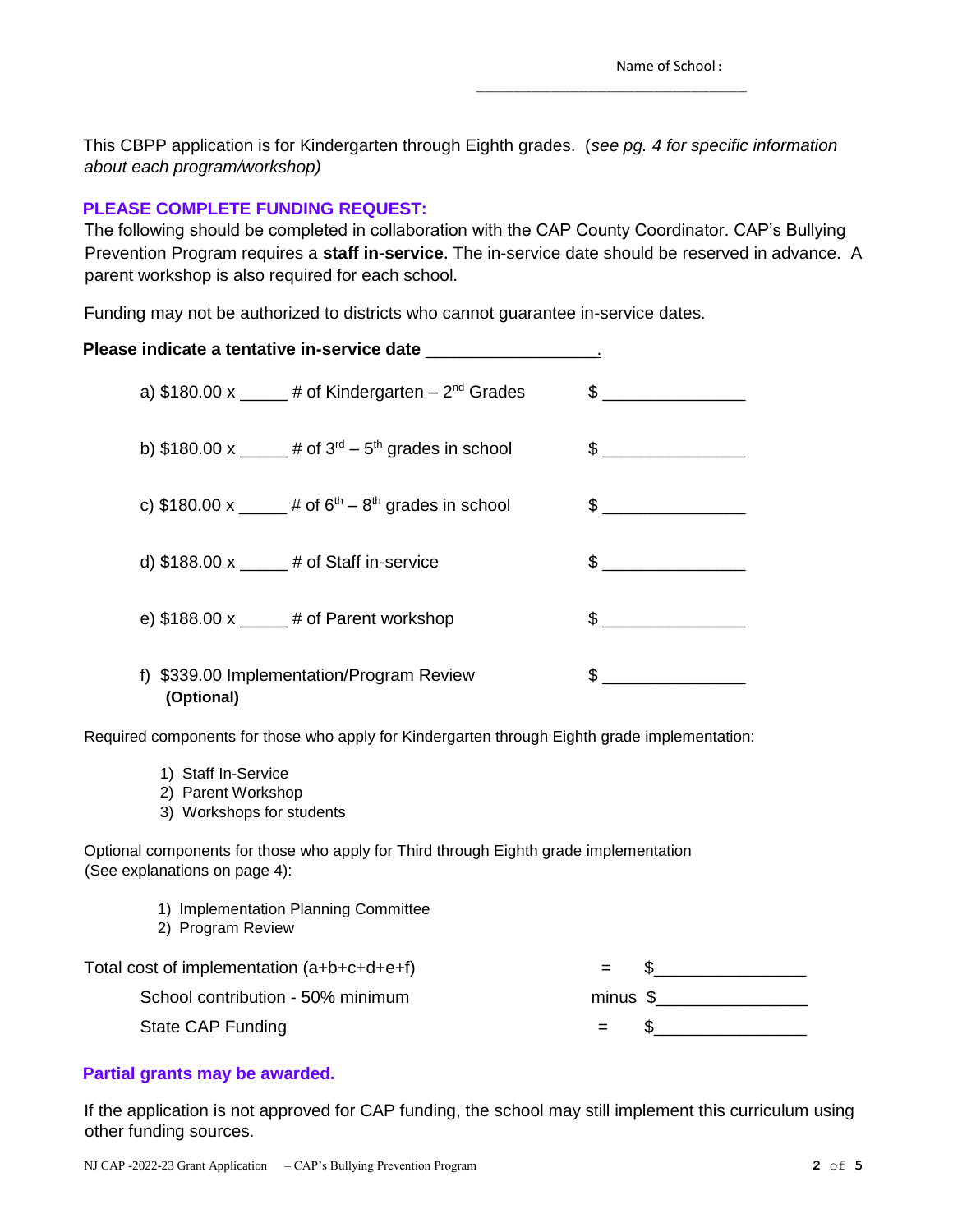This CBPP application is for Kindergarten through Eighth grades. (*see pg. 4 for specific information about each program/workshop)*

### **PLEASE COMPLETE FUNDING REQUEST:**

The following should be completed in collaboration with the CAP County Coordinator. CAP's Bullying Prevention Program requires a **staff in-service**. The in-service date should be reserved in advance. A parent workshop is also required for each school.

Funding may not be authorized to districts who cannot guarantee in-service dates.

| Please indicate a tentative in-service date _________________. |  |                                                                                                                                                                                                                                                                                                                                 |
|----------------------------------------------------------------|--|---------------------------------------------------------------------------------------------------------------------------------------------------------------------------------------------------------------------------------------------------------------------------------------------------------------------------------|
| a) $$180.00 \times$ # of Kindergarten - $2^{nd}$ Grades        |  | $\mathbb{S}$                                                                                                                                                                                                                                                                                                                    |
| b) \$180.00 x _____ # of $3^{rd}$ – $5^{th}$ grades in school  |  | $\sim$                                                                                                                                                                                                                                                                                                                          |
| c) \$180.00 x _____ # of $6^{th} - 8^{th}$ grades in school    |  | $\sim$ $\sim$                                                                                                                                                                                                                                                                                                                   |
| d) $$188.00 x$ $*$ $#$ of Staff in-service                     |  | $\mathbb S$ and $\mathbb S$ and $\mathbb S$ and $\mathbb S$ and $\mathbb S$ and $\mathbb S$ and $\mathbb S$ and $\mathbb S$ and $\mathbb S$ and $\mathbb S$ and $\mathbb S$ and $\mathbb S$ and $\mathbb S$ and $\mathbb S$ and $\mathbb S$ and $\mathbb S$ and $\mathbb S$ and $\mathbb S$ and $\mathbb S$ and $\mathbb S$ and |
| e) $$188.00 x$ # of Parent workshop                            |  |                                                                                                                                                                                                                                                                                                                                 |
| f) \$339.00 Implementation/Program Review<br>(Optional)        |  |                                                                                                                                                                                                                                                                                                                                 |

Required components for those who apply for Kindergarten through Eighth grade implementation:

- 1) Staff In-Service
- 2) Parent Workshop
- 3) Workshops for students

Optional components for those who apply for Third through Eighth grade implementation (See explanations on page 4):

- 1) Implementation Planning Committee
- 2) Program Review

| Total cost of implementation (a+b+c+d+e+f) | $=$      |
|--------------------------------------------|----------|
| School contribution - 50% minimum          | minus \$ |
| State CAP Funding                          | $=$      |

#### **Partial grants may be awarded.**

If the application is not approved for CAP funding, the school may still implement this curriculum using other funding sources.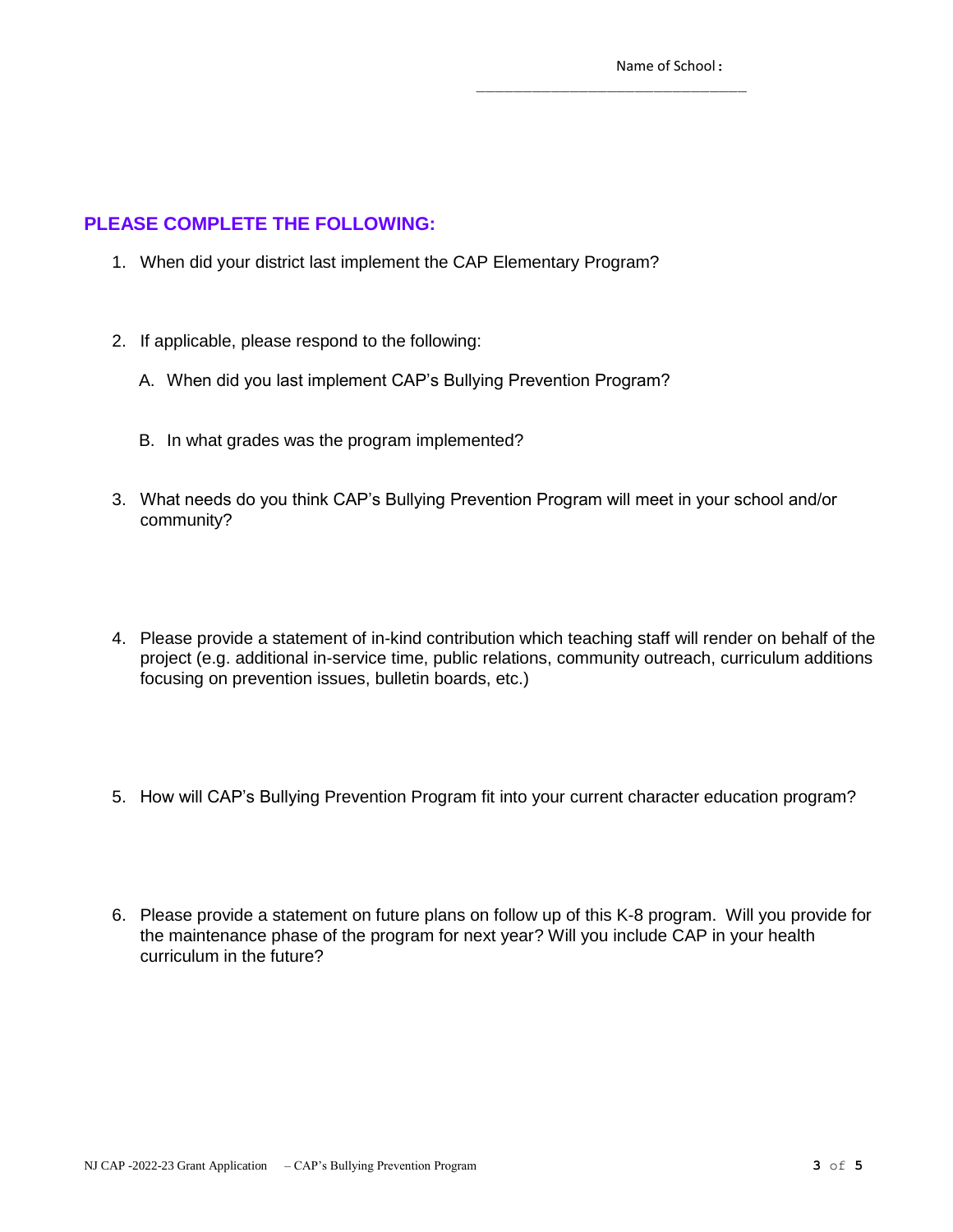# **PLEASE COMPLETE THE FOLLOWING:**

- 1. When did your district last implement the CAP Elementary Program?
- 2. If applicable, please respond to the following:
	- A. When did you last implement CAP's Bullying Prevention Program?
	- B. In what grades was the program implemented?
- 3. What needs do you think CAP's Bullying Prevention Program will meet in your school and/or community?
- 4. Please provide a statement of in-kind contribution which teaching staff will render on behalf of the project (e.g. additional in-service time, public relations, community outreach, curriculum additions focusing on prevention issues, bulletin boards, etc.)
- 5. How will CAP's Bullying Prevention Program fit into your current character education program?
- 6. Please provide a statement on future plans on follow up of this K-8 program. Will you provide for the maintenance phase of the program for next year? Will you include CAP in your health curriculum in the future?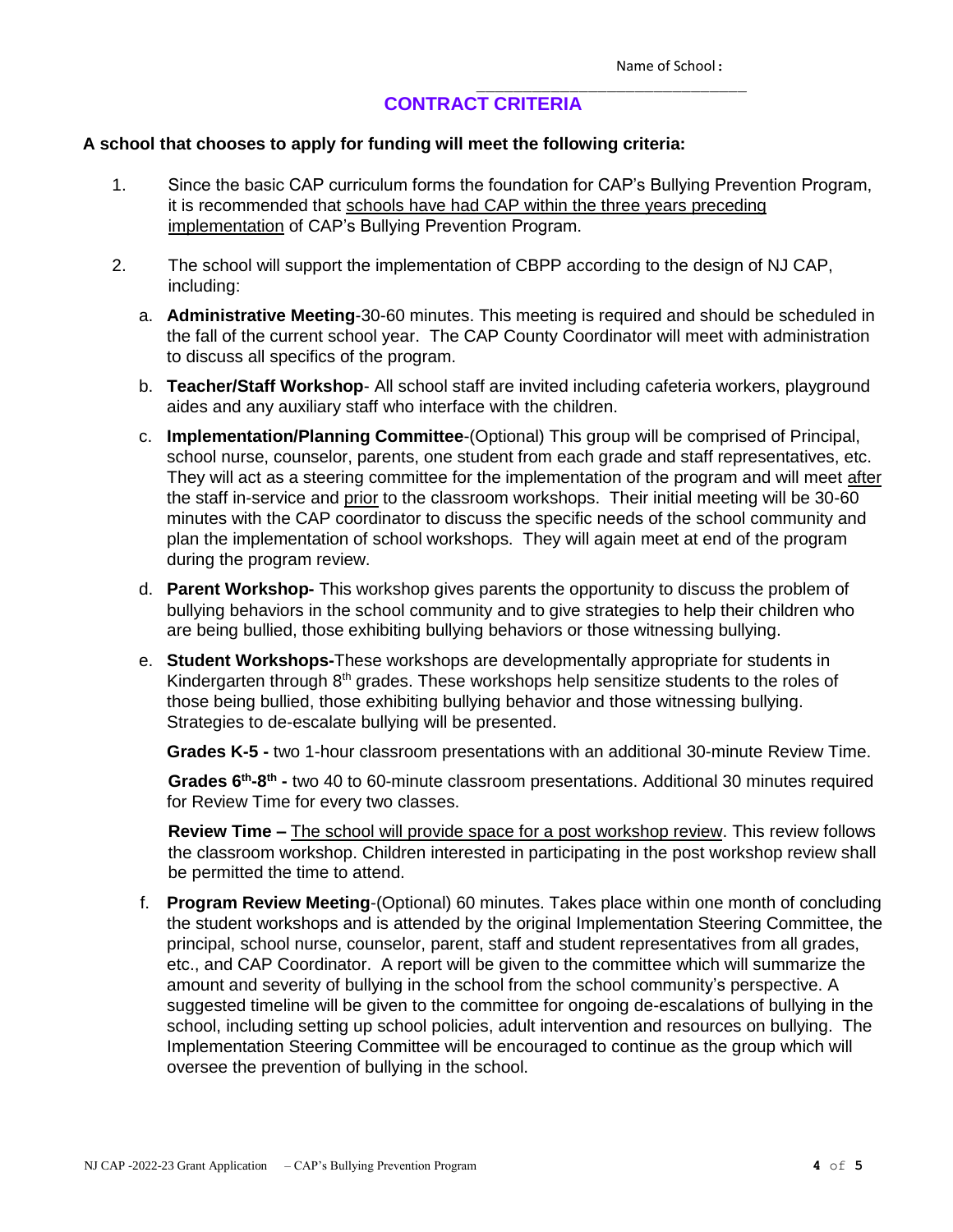# **CONTRACT CRITERIA**

### **A school that chooses to apply for funding will meet the following criteria:**

- 1. Since the basic CAP curriculum forms the foundation for CAP's Bullying Prevention Program, it is recommended that schools have had CAP within the three years preceding implementation of CAP's Bullying Prevention Program.
- 2. The school will support the implementation of CBPP according to the design of NJ CAP, including:
	- a. **Administrative Meeting**-30-60 minutes. This meeting is required and should be scheduled in the fall of the current school year. The CAP County Coordinator will meet with administration to discuss all specifics of the program.
	- b. **Teacher/Staff Workshop** All school staff are invited including cafeteria workers, playground aides and any auxiliary staff who interface with the children.
	- c. **Implementation/Planning Committee**-(Optional) This group will be comprised of Principal, school nurse, counselor, parents, one student from each grade and staff representatives, etc. They will act as a steering committee for the implementation of the program and will meet after the staff in-service and prior to the classroom workshops. Their initial meeting will be 30-60 minutes with the CAP coordinator to discuss the specific needs of the school community and plan the implementation of school workshops.They will again meet at end of the program during the program review.
	- d. **Parent Workshop-** This workshop gives parents the opportunity to discuss the problem of bullying behaviors in the school community and to give strategies to help their children who are being bullied, those exhibiting bullying behaviors or those witnessing bullying.
	- e. **Student Workshops-**These workshops are developmentally appropriate for students in Kindergarten through 8<sup>th</sup> grades. These workshops help sensitize students to the roles of those being bullied, those exhibiting bullying behavior and those witnessing bullying. Strategies to de-escalate bullying will be presented.

**Grades K-5 -** two 1-hour classroom presentations with an additional 30-minute Review Time.

Grades 6<sup>th</sup>-8<sup>th</sup> - two 40 to 60-minute classroom presentations. Additional 30 minutes required for Review Time for every two classes.

**Review Time –** The school will provide space for a post workshop review. This review follows the classroom workshop. Children interested in participating in the post workshop review shall be permitted the time to attend.

f. **Program Review Meeting**-(Optional) 60 minutes. Takes place within one month of concluding the student workshops and is attended by the original Implementation Steering Committee, the principal, school nurse, counselor, parent, staff and student representatives from all grades, etc., and CAP Coordinator. A report will be given to the committee which will summarize the amount and severity of bullying in the school from the school community's perspective. A suggested timeline will be given to the committee for ongoing de-escalations of bullying in the school, including setting up school policies, adult intervention and resources on bullying. The Implementation Steering Committee will be encouraged to continue as the group which will oversee the prevention of bullying in the school.